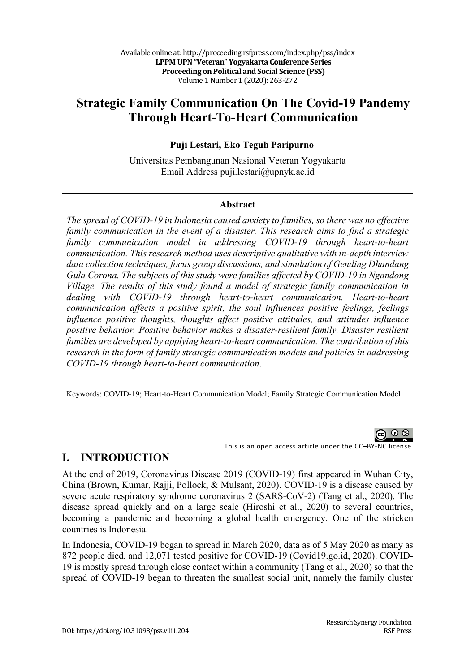# **Strategic Family Communication On The Covid-19 Pandemy Through Heart-To-Heart Communication**

#### **Puji Lestari, Eko Teguh Paripurno**

Universitas Pembangunan Nasional Veteran Yogyakarta Email Address puji.lestari@upnyk.ac.id

#### **Abstract**

*The spread of COVID-19 in Indonesia caused anxiety to families, so there was no effective family communication in the event of a disaster. This research aims to find a strategic family communication model in addressing COVID-19 through heart-to-heart communication. This research method uses descriptive qualitative with in-depth interview data collection techniques, focus group discussions, and simulation of Gending Dhandang Gula Corona. The subjects of this study were families affected by COVID-19 in Ngandong Village. The results of this study found a model of strategic family communication in dealing with COVID-19 through heart-to-heart communication. Heart-to-heart communication affects a positive spirit, the soul influences positive feelings, feelings influence positive thoughts, thoughts affect positive attitudes, and attitudes influence positive behavior. Positive behavior makes a disaster-resilient family. Disaster resilient families are developed by applying heart-to-heart communication. The contribution of this research in the form of family strategic communication models and policies in addressing COVID-19 through heart-to-heart communication*.

Keywords: COVID-19; Heart-to-Heart Communication Model; Family Strategic Communication Model

റ

This is an open access article under the CC–BY-NC license.

#### **I. INTRODUCTION**

At the end of 2019, Coronavirus Disease 2019 (COVID-19) first appeared in Wuhan City, China (Brown, Kumar, Rajji, Pollock, & Mulsant, 2020). COVID-19 is a disease caused by severe acute respiratory syndrome coronavirus 2 (SARS-CoV-2) (Tang et al., 2020). The disease spread quickly and on a large scale (Hiroshi et al., 2020) to several countries, becoming a pandemic and becoming a global health emergency. One of the stricken countries is Indonesia.

In Indonesia, COVID-19 began to spread in March 2020, data as of 5 May 2020 as many as 872 people died, and 12,071 tested positive for COVID-19 (Covid19.go.id, 2020). COVID-19 is mostly spread through close contact within a community (Tang et al., 2020) so that the spread of COVID-19 began to threaten the smallest social unit, namely the family cluster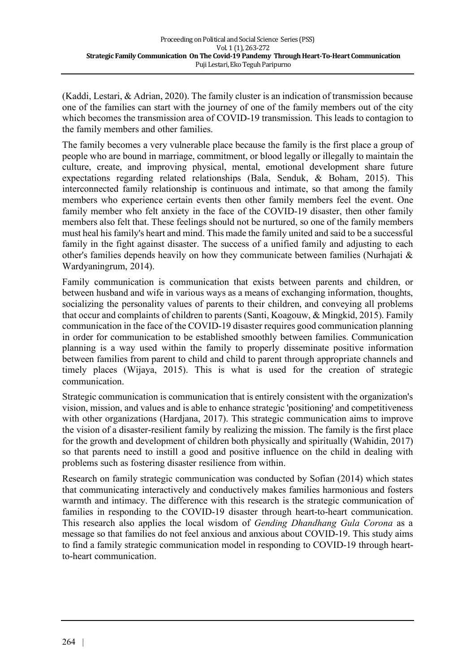(Kaddi, Lestari, & Adrian, 2020). The family cluster is an indication of transmission because one of the families can start with the journey of one of the family members out of the city which becomes the transmission area of COVID-19 transmission. This leads to contagion to the family members and other families.

The family becomes a very vulnerable place because the family is the first place a group of people who are bound in marriage, commitment, or blood legally or illegally to maintain the culture, create, and improving physical, mental, emotional development share future expectations regarding related relationships (Bala, Senduk, & Boham, 2015). This interconnected family relationship is continuous and intimate, so that among the family members who experience certain events then other family members feel the event. One family member who felt anxiety in the face of the COVID-19 disaster, then other family members also felt that. These feelings should not be nurtured, so one of the family members must heal his family's heart and mind. This made the family united and said to be a successful family in the fight against disaster. The success of a unified family and adjusting to each other's families depends heavily on how they communicate between families (Nurhajati & Wardyaningrum, 2014).

Family communication is communication that exists between parents and children, or between husband and wife in various ways as a means of exchanging information, thoughts, socializing the personality values of parents to their children, and conveying all problems that occur and complaints of children to parents (Santi, Koagouw, & Mingkid, 2015). Family communication in the face of the COVID-19 disaster requires good communication planning in order for communication to be established smoothly between families. Communication planning is a way used within the family to properly disseminate positive information between families from parent to child and child to parent through appropriate channels and timely places (Wijaya, 2015). This is what is used for the creation of strategic communication.

Strategic communication is communication that is entirely consistent with the organization's vision, mission, and values and is able to enhance strategic 'positioning' and competitiveness with other organizations (Hardjana, 2017). This strategic communication aims to improve the vision of a disaster-resilient family by realizing the mission. The family is the first place for the growth and development of children both physically and spiritually (Wahidin, 2017) so that parents need to instill a good and positive influence on the child in dealing with problems such as fostering disaster resilience from within.

Research on family strategic communication was conducted by Sofian (2014) which states that communicating interactively and conductively makes families harmonious and fosters warmth and intimacy. The difference with this research is the strategic communication of families in responding to the COVID-19 disaster through heart-to-heart communication. This research also applies the local wisdom of *Gending Dhandhang Gula Corona* as a message so that families do not feel anxious and anxious about COVID-19. This study aims to find a family strategic communication model in responding to COVID-19 through heartto-heart communication.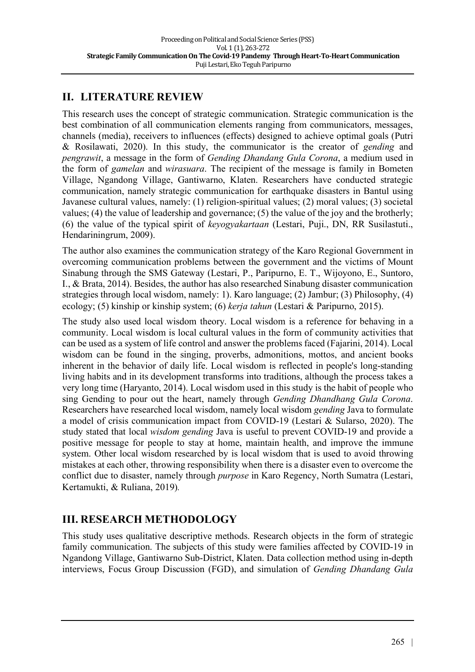## **II. LITERATURE REVIEW**

This research uses the concept of strategic communication. Strategic communication is the best combination of all communication elements ranging from communicators, messages, channels (media), receivers to influences (effects) designed to achieve optimal goals (Putri & Rosilawati, 2020). In this study, the communicator is the creator of *gending* and *pengrawit*, a message in the form of *Gending Dhandang Gula Corona*, a medium used in the form of *gamelan* and *wirasuara*. The recipient of the message is family in Bometen Village, Ngandong Village, Gantiwarno, Klaten. Researchers have conducted strategic communication, namely strategic communication for earthquake disasters in Bantul using Javanese cultural values, namely: (1) religion-spiritual values; (2) moral values; (3) societal values; (4) the value of leadership and governance; (5) the value of the joy and the brotherly; (6) the value of the typical spirit of *keyogyakartaan* (Lestari, Puji., DN, RR Susilastuti., Hendariningrum, 2009).

The author also examines the communication strategy of the Karo Regional Government in overcoming communication problems between the government and the victims of Mount Sinabung through the SMS Gateway (Lestari, P., Paripurno, E. T., Wijoyono, E., Suntoro, I., & Brata, 2014). Besides, the author has also researched Sinabung disaster communication strategies through local wisdom, namely: 1). Karo language; (2) Jambur; (3) Philosophy, (4) ecology; (5) kinship or kinship system; (6) *kerja tahun* (Lestari & Paripurno, 2015).

The study also used local wisdom theory. Local wisdom is a reference for behaving in a community. Local wisdom is local cultural values in the form of community activities that can be used as a system of life control and answer the problems faced (Fajarini, 2014). Local wisdom can be found in the singing, proverbs, admonitions, mottos, and ancient books inherent in the behavior of daily life. Local wisdom is reflected in people's long-standing living habits and in its development transforms into traditions, although the process takes a very long time (Haryanto, 2014). Local wisdom used in this study is the habit of people who sing Gending to pour out the heart, namely through *Gending Dhandhang Gula Corona*. Researchers have researched local wisdom, namely local wisdom *gending* Java to formulate a model of crisis communication impact from COVID-19 (Lestari & Sularso, 2020). The study stated that local *wisdom gending* Java is useful to prevent COVID-19 and provide a positive message for people to stay at home, maintain health, and improve the immune system. Other local wisdom researched by is local wisdom that is used to avoid throwing mistakes at each other, throwing responsibility when there is a disaster even to overcome the conflict due to disaster, namely through *purpose* in Karo Regency, North Sumatra (Lestari, Kertamukti, & Ruliana, 2019)*.*

# **III. RESEARCH METHODOLOGY**

This study uses qualitative descriptive methods. Research objects in the form of strategic family communication. The subjects of this study were families affected by COVID-19 in Ngandong Village, Gantiwarno Sub-District, Klaten. Data collection method using in-depth interviews, Focus Group Discussion (FGD), and simulation of *Gending Dhandang Gula*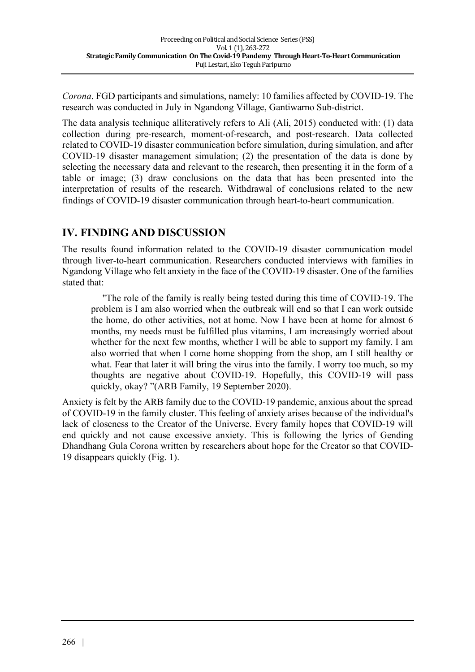*Corona*. FGD participants and simulations, namely: 10 families affected by COVID-19. The research was conducted in July in Ngandong Village, Gantiwarno Sub-district.

The data analysis technique alliteratively refers to Ali (Ali, 2015) conducted with: (1) data collection during pre-research, moment-of-research, and post-research. Data collected related to COVID-19 disaster communication before simulation, during simulation, and after COVID-19 disaster management simulation; (2) the presentation of the data is done by selecting the necessary data and relevant to the research, then presenting it in the form of a table or image; (3) draw conclusions on the data that has been presented into the interpretation of results of the research. Withdrawal of conclusions related to the new findings of COVID-19 disaster communication through heart-to-heart communication.

### **IV. FINDING AND DISCUSSION**

The results found information related to the COVID-19 disaster communication model through liver-to-heart communication. Researchers conducted interviews with families in Ngandong Village who felt anxiety in the face of the COVID-19 disaster. One of the families stated that:

"The role of the family is really being tested during this time of COVID-19. The problem is I am also worried when the outbreak will end so that I can work outside the home, do other activities, not at home. Now I have been at home for almost 6 months, my needs must be fulfilled plus vitamins, I am increasingly worried about whether for the next few months, whether I will be able to support my family. I am also worried that when I come home shopping from the shop, am I still healthy or what. Fear that later it will bring the virus into the family. I worry too much, so my thoughts are negative about COVID-19. Hopefully, this COVID-19 will pass quickly, okay? "(ARB Family, 19 September 2020).

Anxiety is felt by the ARB family due to the COVID-19 pandemic, anxious about the spread of COVID-19 in the family cluster. This feeling of anxiety arises because of the individual's lack of closeness to the Creator of the Universe. Every family hopes that COVID-19 will end quickly and not cause excessive anxiety. This is following the lyrics of Gending Dhandhang Gula Corona written by researchers about hope for the Creator so that COVID-19 disappears quickly (Fig. 1).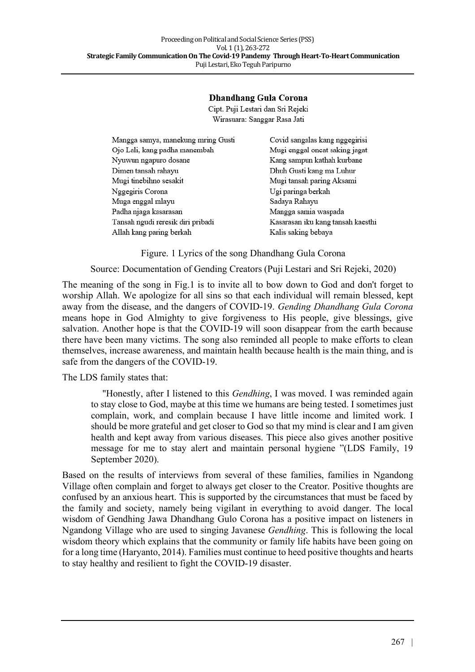#### Dhandhang Gula Corona

Cipt. Puji Lestari dan Sri Rejeki Wirasuara: Sanggar Rasa Jati

| Mangga samya, manekung mring Gusti | Covid sangalas kang nggegirisi    |
|------------------------------------|-----------------------------------|
| Ojo Lali, kang padha manembah      | Mugi enggal oncat saking jagat    |
| Nyuwun ngapuro dosane              | Kang sampun kathah kurbane        |
| Dimen tansah rahayu                | Dhuh Gusti kang ma Luhur          |
| Mugi tinebihno sesakit             | Mugi tansah paring Aksami         |
| Nggegiris Corona                   | Ugi paringa berkah                |
| Muga enggal mlayu                  | Sadaya Rahayu                     |
| Padha njaga kasarasan              | Mangga samia waspada              |
| Tansah ngudi reresik diri pribadi  | Kasarasan iku kang tansah kaesthi |
| Allah kang paring berkah           | Kalis saking bebaya               |

Figure. 1 Lyrics of the song Dhandhang Gula Corona

Source: Documentation of Gending Creators (Puji Lestari and Sri Rejeki, 2020)

The meaning of the song in Fig.1 is to invite all to bow down to God and don't forget to worship Allah. We apologize for all sins so that each individual will remain blessed, kept away from the disease, and the dangers of COVID-19. *Gending Dhandhang Gula Corona* means hope in God Almighty to give forgiveness to His people, give blessings, give salvation. Another hope is that the COVID-19 will soon disappear from the earth because there have been many victims. The song also reminded all people to make efforts to clean themselves, increase awareness, and maintain health because health is the main thing, and is safe from the dangers of the COVID-19.

The LDS family states that:

"Honestly, after I listened to this *Gendhing*, I was moved. I was reminded again to stay close to God, maybe at this time we humans are being tested. I sometimes just complain, work, and complain because I have little income and limited work. I should be more grateful and get closer to God so that my mind is clear and I am given health and kept away from various diseases. This piece also gives another positive message for me to stay alert and maintain personal hygiene "(LDS Family, 19 September 2020).

Based on the results of interviews from several of these families, families in Ngandong Village often complain and forget to always get closer to the Creator. Positive thoughts are confused by an anxious heart. This is supported by the circumstances that must be faced by the family and society, namely being vigilant in everything to avoid danger. The local wisdom of Gendhing Jawa Dhandhang Gulo Corona has a positive impact on listeners in Ngandong Village who are used to singing Javanese *Gendhing*. This is following the local wisdom theory which explains that the community or family life habits have been going on for a long time (Haryanto, 2014). Families must continue to heed positive thoughts and hearts to stay healthy and resilient to fight the COVID-19 disaster.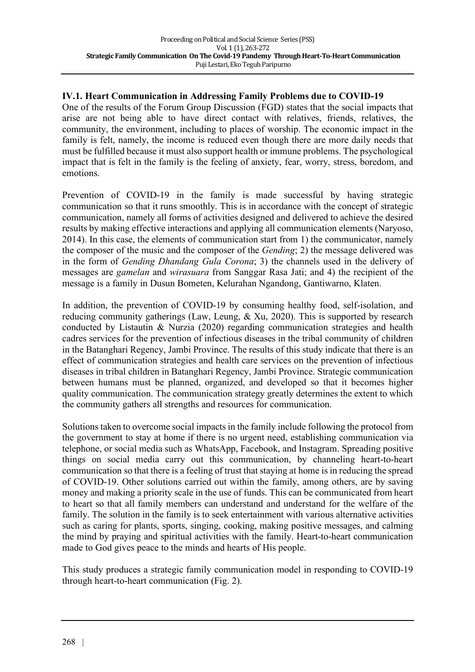#### **IV.1. Heart Communication in Addressing Family Problems due to COVID-19**

One of the results of the Forum Group Discussion (FGD) states that the social impacts that arise are not being able to have direct contact with relatives, friends, relatives, the community, the environment, including to places of worship. The economic impact in the family is felt, namely, the income is reduced even though there are more daily needs that must be fulfilled because it must also support health or immune problems. The psychological impact that is felt in the family is the feeling of anxiety, fear, worry, stress, boredom, and emotions.

Prevention of COVID-19 in the family is made successful by having strategic communication so that it runs smoothly. This is in accordance with the concept of strategic communication, namely all forms of activities designed and delivered to achieve the desired results by making effective interactions and applying all communication elements (Naryoso, 2014). In this case, the elements of communication start from 1) the communicator, namely the composer of the music and the composer of the *Gending*; 2) the message delivered was in the form of *Gending Dhandang Gula Corona*; 3) the channels used in the delivery of messages are *gamelan* and *wirasuara* from Sanggar Rasa Jati; and 4) the recipient of the message is a family in Dusun Bometen, Kelurahan Ngandong, Gantiwarno, Klaten.

In addition, the prevention of COVID-19 by consuming healthy food, self-isolation, and reducing community gatherings (Law, Leung, & Xu, 2020). This is supported by research conducted by Listautin & Nurzia (2020) regarding communication strategies and health cadres services for the prevention of infectious diseases in the tribal community of children in the Batanghari Regency, Jambi Province. The results of this study indicate that there is an effect of communication strategies and health care services on the prevention of infectious diseases in tribal children in Batanghari Regency, Jambi Province. Strategic communication between humans must be planned, organized, and developed so that it becomes higher quality communication. The communication strategy greatly determines the extent to which the community gathers all strengths and resources for communication.

Solutions taken to overcome social impacts in the family include following the protocol from the government to stay at home if there is no urgent need, establishing communication via telephone, or social media such as WhatsApp, Facebook, and Instagram. Spreading positive things on social media carry out this communication, by channeling heart-to-heart communication so that there is a feeling of trust that staying at home is in reducing the spread of COVID-19. Other solutions carried out within the family, among others, are by saving money and making a priority scale in the use of funds. This can be communicated from heart to heart so that all family members can understand and understand for the welfare of the family. The solution in the family is to seek entertainment with various alternative activities such as caring for plants, sports, singing, cooking, making positive messages, and calming the mind by praying and spiritual activities with the family. Heart-to-heart communication made to God gives peace to the minds and hearts of His people.

This study produces a strategic family communication model in responding to COVID-19 through heart-to-heart communication (Fig. 2).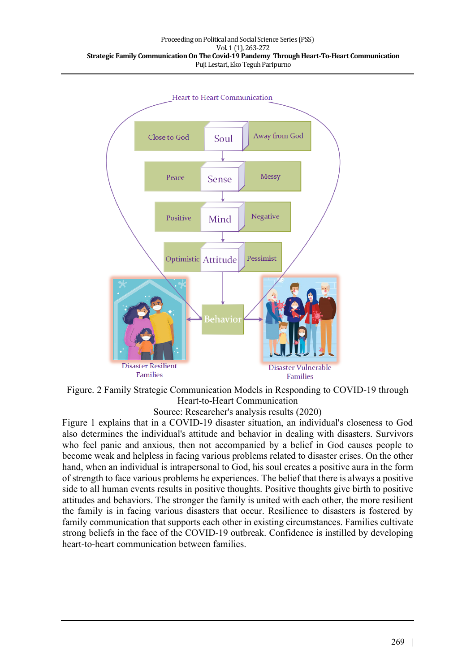

Figure. 2 Family Strategic Communication Models in Responding to COVID-19 through Heart-to-Heart Communication

Source: Researcher's analysis results (2020)

Figure 1 explains that in a COVID-19 disaster situation, an individual's closeness to God also determines the individual's attitude and behavior in dealing with disasters. Survivors who feel panic and anxious, then not accompanied by a belief in God causes people to become weak and helpless in facing various problems related to disaster crises. On the other hand, when an individual is intrapersonal to God, his soul creates a positive aura in the form of strength to face various problems he experiences. The belief that there is always a positive side to all human events results in positive thoughts. Positive thoughts give birth to positive attitudes and behaviors. The stronger the family is united with each other, the more resilient the family is in facing various disasters that occur. Resilience to disasters is fostered by family communication that supports each other in existing circumstances. Families cultivate strong beliefs in the face of the COVID-19 outbreak. Confidence is instilled by developing heart-to-heart communication between families.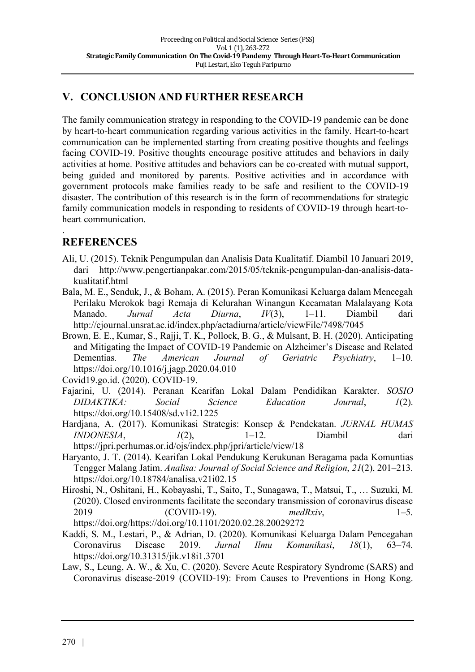### **V. CONCLUSION AND FURTHER RESEARCH**

The family communication strategy in responding to the COVID-19 pandemic can be done by heart-to-heart communication regarding various activities in the family. Heart-to-heart communication can be implemented starting from creating positive thoughts and feelings facing COVID-19. Positive thoughts encourage positive attitudes and behaviors in daily activities at home. Positive attitudes and behaviors can be co-created with mutual support, being guided and monitored by parents. Positive activities and in accordance with government protocols make families ready to be safe and resilient to the COVID-19 disaster. The contribution of this research is in the form of recommendations for strategic family communication models in responding to residents of COVID-19 through heart-toheart communication.

### **REFERENCES**

.

- Ali, U. (2015). Teknik Pengumpulan dan Analisis Data Kualitatif. Diambil 10 Januari 2019, dari http://www.pengertianpakar.com/2015/05/teknik-pengumpulan-dan-analisis-datakualitatif.html
- Bala, M. E., Senduk, J., & Boham, A. (2015). Peran Komunikasi Keluarga dalam Mencegah Perilaku Merokok bagi Remaja di Kelurahan Winangun Kecamatan Malalayang Kota Manado. *Jurnal Acta Diurna*, *IV*(3), 1–11. Diambil dari http://ejournal.unsrat.ac.id/index.php/actadiurna/article/viewFile/7498/7045
- Brown, E. E., Kumar, S., Rajji, T. K., Pollock, B. G., & Mulsant, B. H. (2020). Anticipating and Mitigating the Impact of COVID-19 Pandemic on Alzheimer's Disease and Related Dementias. *The American Journal of Geriatric Psychiatry*, 1–10. https://doi.org/10.1016/j.jagp.2020.04.010

Covid19.go.id. (2020). COVID-19.

- Fajarini, U. (2014). Peranan Kearifan Lokal Dalam Pendidikan Karakter. *SOSIO DIDAKTIKA: Social Science Education Journal*, *1*(2). https://doi.org/10.15408/sd.v1i2.1225
- Hardjana, A. (2017). Komunikasi Strategis: Konsep & Pendekatan. *JURNAL HUMAS INDONESIA*, *1*(2), 1–12. Diambil dari https://jpri.perhumas.or.id/ojs/index.php/jpri/article/view/18
- Haryanto, J. T. (2014). Kearifan Lokal Pendukung Kerukunan Beragama pada Komuntias Tengger Malang Jatim. *Analisa: Journal of Social Science and Religion*, *21*(2), 201–213. https://doi.org/10.18784/analisa.v21i02.15
- Hiroshi, N., Oshitani, H., Kobayashi, T., Saito, T., Sunagawa, T., Matsui, T., … Suzuki, M. (2020). Closed environments facilitate the secondary transmission of coronavirus disease 2019 (COVID-19). *medRxiv*, 1–5. https://doi.org/https://doi.org/10.1101/2020.02.28.20029272
- Kaddi, S. M., Lestari, P., & Adrian, D. (2020). Komunikasi Keluarga Dalam Pencegahan Coronavirus Disease 2019. *Jurnal Ilmu Komunikasi*, *18*(1), 63–74. https://doi.org/10.31315/jik.v18i1.3701
- Law, S., Leung, A. W., & Xu, C. (2020). Severe Acute Respiratory Syndrome (SARS) and Coronavirus disease-2019 (COVID-19): From Causes to Preventions in Hong Kong.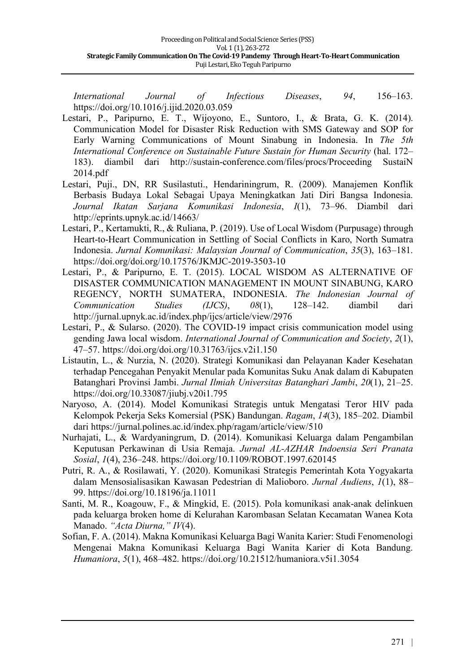*International Journal of Infectious Diseases*, *94*, 156–163. https://doi.org/10.1016/j.ijid.2020.03.059

- Lestari, P., Paripurno, E. T., Wijoyono, E., Suntoro, I., & Brata, G. K. (2014). Communication Model for Disaster Risk Reduction with SMS Gateway and SOP for Early Warning Communications of Mount Sinabung in Indonesia. In *The 5th International Conference on Sustainable Future Sustain for Human Security* (hal. 172– 183). diambil dari http://sustain-conference.com/files/procs/Proceeding SustaiN 2014.pdf
- Lestari, Puji., DN, RR Susilastuti., Hendariningrum, R. (2009). Manajemen Konflik Berbasis Budaya Lokal Sebagai Upaya Meningkatkan Jati Diri Bangsa Indonesia. *Journal Ikatan Sarjana Komunikasi Indonesia*, *I*(1), 73–96. Diambil dari http://eprints.upnyk.ac.id/14663/
- Lestari, P., Kertamukti, R., & Ruliana, P. (2019). Use of Local Wisdom (Purpusage) through Heart-to-Heart Communication in Settling of Social Conflicts in Karo, North Sumatra Indonesia. *Jurnal Komunikasi: Malaysian Journal of Communication*, *35*(3), 163–181. https://doi.org/doi.org/10.17576/JKMJC-2019-3503-10
- Lestari, P., & Paripurno, E. T. (2015). LOCAL WISDOM AS ALTERNATIVE OF DISASTER COMMUNICATION MANAGEMENT IN MOUNT SINABUNG, KARO REGENCY, NORTH SUMATERA, INDONESIA. *The Indonesian Journal of Communication Studies (IJCS)*, *08*(1), 128–142. diambil dari http://jurnal.upnyk.ac.id/index.php/ijcs/article/view/2976
- Lestari, P., & Sularso. (2020). The COVID-19 impact crisis communication model using gending Jawa local wisdom. *International Journal of Communication and Society*, *2*(1), 47–57. https://doi.org/doi.org/10.31763/ijcs.v2i1.150
- Listautin, L., & Nurzia, N. (2020). Strategi Komunikasi dan Pelayanan Kader Kesehatan terhadap Pencegahan Penyakit Menular pada Komunitas Suku Anak dalam di Kabupaten Batanghari Provinsi Jambi. *Jurnal Ilmiah Universitas Batanghari Jambi*, *20*(1), 21–25. https://doi.org/10.33087/jiubj.v20i1.795
- Naryoso, A. (2014). Model Komunikasi Strategis untuk Mengatasi Teror HIV pada Kelompok Pekerja Seks Komersial (PSK) Bandungan. *Ragam*, *14*(3), 185–202. Diambil dari https://jurnal.polines.ac.id/index.php/ragam/article/view/510
- Nurhajati, L., & Wardyaningrum, D. (2014). Komunikasi Keluarga dalam Pengambilan Keputusan Perkawinan di Usia Remaja. *Jurnal AL-AZHAR Indoensia Seri Pranata Sosial*, *1*(4), 236–248. https://doi.org/10.1109/ROBOT.1997.620145
- Putri, R. A., & Rosilawati, Y. (2020). Komunikasi Strategis Pemerintah Kota Yogyakarta dalam Mensosialisasikan Kawasan Pedestrian di Malioboro. *Jurnal Audiens*, *1*(1), 88– 99. https://doi.org/10.18196/ja.11011
- Santi, M. R., Koagouw, F., & Mingkid, E. (2015). Pola komunikasi anak-anak delinkuen pada keluarga broken home di Kelurahan Karombasan Selatan Kecamatan Wanea Kota Manado. *"Acta Diurna," IV*(4).
- Sofian, F. A. (2014). Makna Komunikasi Keluarga Bagi Wanita Karier: Studi Fenomenologi Mengenai Makna Komunikasi Keluarga Bagi Wanita Karier di Kota Bandung. *Humaniora*, *5*(1), 468–482. https://doi.org/10.21512/humaniora.v5i1.3054